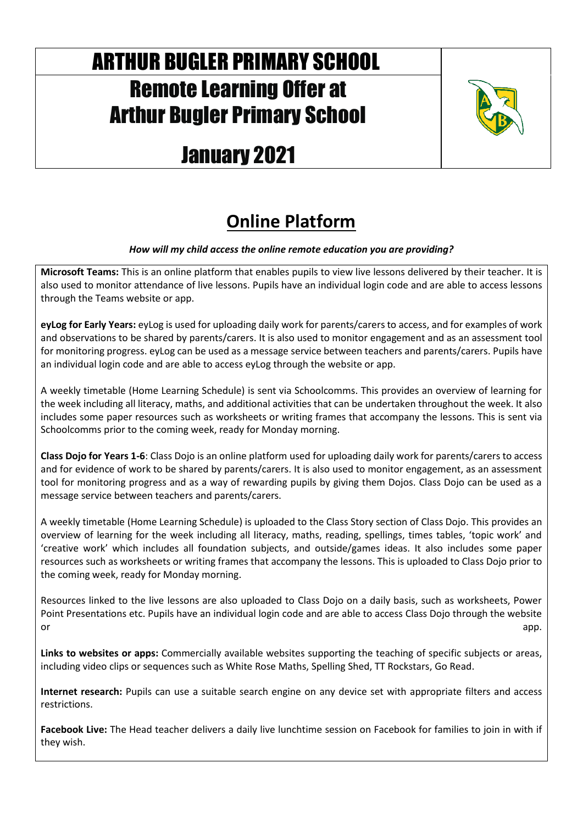# ARTHUR BUGLER PRIMARY SCHOOL Remote Learning Offer at Arthur Bugler Primary School

# January 2021



# **Online Platform**

### *How will my child access the online remote education you are providing?*

**Microsoft Teams:** This is an online platform that enables pupils to view live lessons delivered by their teacher. It is also used to monitor attendance of live lessons. Pupils have an individual login code and are able to access lessons through the Teams website or app.

**eyLog for Early Years:** eyLog is used for uploading daily work for parents/carers to access, and for examples of work and observations to be shared by parents/carers. It is also used to monitor engagement and as an assessment tool for monitoring progress. eyLog can be used as a message service between teachers and parents/carers. Pupils have an individual login code and are able to access eyLog through the website or app.

A weekly timetable (Home Learning Schedule) is sent via Schoolcomms. This provides an overview of learning for the week including all literacy, maths, and additional activities that can be undertaken throughout the week. It also includes some paper resources such as worksheets or writing frames that accompany the lessons. This is sent via Schoolcomms prior to the coming week, ready for Monday morning.

**Class Dojo for Years 1-6**: Class Dojo is an online platform used for uploading daily work for parents/carers to access and for evidence of work to be shared by parents/carers. It is also used to monitor engagement, as an assessment tool for monitoring progress and as a way of rewarding pupils by giving them Dojos. Class Dojo can be used as a message service between teachers and parents/carers.

A weekly timetable (Home Learning Schedule) is uploaded to the Class Story section of Class Dojo. This provides an overview of learning for the week including all literacy, maths, reading, spellings, times tables, 'topic work' and 'creative work' which includes all foundation subjects, and outside/games ideas. It also includes some paper resources such as worksheets or writing frames that accompany the lessons. This is uploaded to Class Dojo prior to the coming week, ready for Monday morning.

Resources linked to the live lessons are also uploaded to Class Dojo on a daily basis, such as worksheets, Power Point Presentations etc. Pupils have an individual login code and are able to access Class Dojo through the website or app. The contract of the contract of the contract of the contract of the contract of the contract of the contract of the contract of the contract of the contract of the contract of the contract of the contract of the co

**Links to websites or apps:** Commercially available websites supporting the teaching of specific subjects or areas, including video clips or sequences such as White Rose Maths, Spelling Shed, TT Rockstars, Go Read.

**Internet research:** Pupils can use a suitable search engine on any device set with appropriate filters and access restrictions.

**Facebook Live:** The Head teacher delivers a daily live lunchtime session on Facebook for families to join in with if they wish.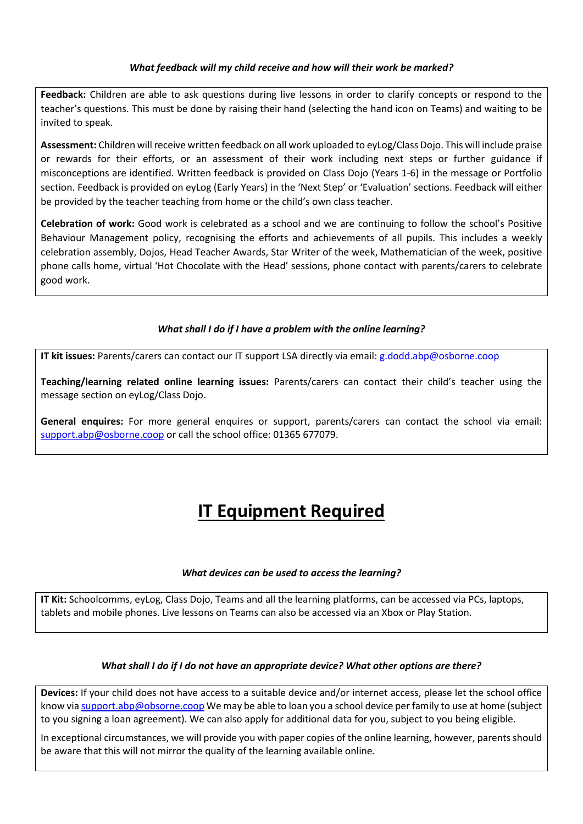#### *What feedback will my child receive and how will their work be marked?*

**Feedback:** Children are able to ask questions during live lessons in order to clarify concepts or respond to the teacher's questions. This must be done by raising their hand (selecting the hand icon on Teams) and waiting to be invited to speak.

**Assessment:** Children will receive written feedback on all work uploaded to eyLog/Class Dojo. This will include praise or rewards for their efforts, or an assessment of their work including next steps or further guidance if misconceptions are identified. Written feedback is provided on Class Dojo (Years 1-6) in the message or Portfolio section. Feedback is provided on eyLog (Early Years) in the 'Next Step' or 'Evaluation' sections. Feedback will either be provided by the teacher teaching from home or the child's own class teacher.

**Celebration of work:** Good work is celebrated as a school and we are continuing to follow the school's Positive Behaviour Management policy, recognising the efforts and achievements of all pupils. This includes a weekly celebration assembly, Dojos, Head Teacher Awards, Star Writer of the week, Mathematician of the week, positive phone calls home, virtual 'Hot Chocolate with the Head' sessions, phone contact with parents/carers to celebrate good work.

### *What shall I do if I have a problem with the online learning?*

**IT kit issues:** Parents/carers can contact our IT support LSA directly via email[: g.dodd.abp@osborne.coop](mailto:g.dodd.abp@osborne.coop)

**Teaching/learning related online learning issues:** Parents/carers can contact their child's teacher using the message section on eyLog/Class Dojo.

**General enquires:** For more general enquires or support, parents/carers can contact the school via email: [support.abp@osborne.coop](mailto:support.abp@osborne.coop) or call the school office: 01365 677079.

## **IT Equipment Required**

#### *What devices can be used to access the learning?*

**IT Kit:** Schoolcomms, eyLog, Class Dojo, Teams and all the learning platforms, can be accessed via PCs, laptops, tablets and mobile phones. Live lessons on Teams can also be accessed via an Xbox or Play Station.

#### *What shall I do if I do not have an appropriate device? What other options are there?*

**Devices:** If your child does not have access to a suitable device and/or internet access, please let the school office know vi[a support.abp@obsorne.coop](mailto:support.abp@obsorne.coop) We may be able to loan you a school device per family to use at home (subject to you signing a loan agreement). We can also apply for additional data for you, subject to you being eligible.

In exceptional circumstances, we will provide you with paper copies of the online learning, however, parents should be aware that this will not mirror the quality of the learning available online.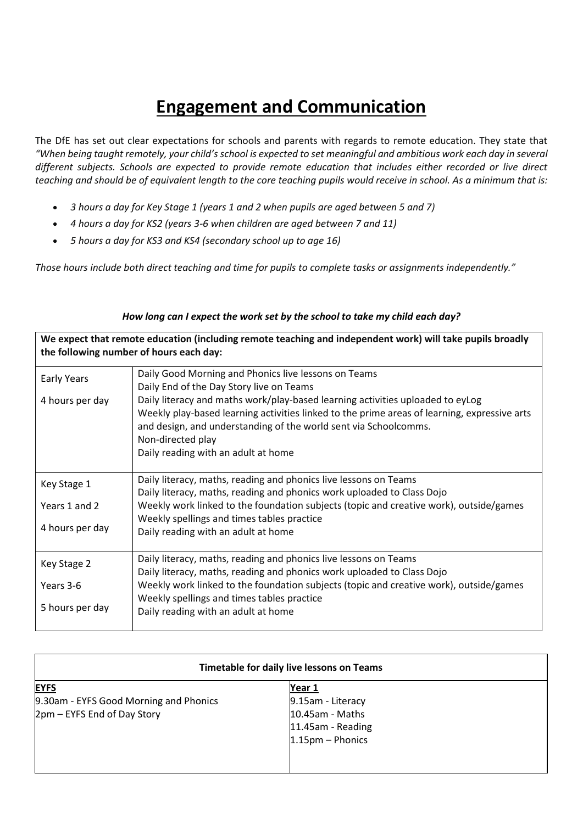## **Engagement and Communication**

The DfE has set out clear expectations for schools and parents with regards to remote education. They state that *"When being taught remotely, your child's school is expected to set meaningful and ambitious work each day in several different subjects. Schools are expected to provide remote education that includes either recorded or live direct teaching and should be of equivalent length to the core teaching pupils would receive in school. As a minimum that is:*

- *3 hours a day for Key Stage 1 (years 1 and 2 when pupils are aged between 5 and 7)*
- *4 hours a day for KS2 (years 3-6 when children are aged between 7 and 11)*
- *5 hours a day for KS3 and KS4 (secondary school up to age 16)*

*Those hours include both direct teaching and time for pupils to complete tasks or assignments independently."*

| We expect that remote education (including remote teaching and independent work) will take pupils broadly<br>the following number of hours each day: |                                                                                                                                                                                                                                                                                                                |  |  |
|------------------------------------------------------------------------------------------------------------------------------------------------------|----------------------------------------------------------------------------------------------------------------------------------------------------------------------------------------------------------------------------------------------------------------------------------------------------------------|--|--|
| <b>Early Years</b>                                                                                                                                   | Daily Good Morning and Phonics live lessons on Teams<br>Daily End of the Day Story live on Teams                                                                                                                                                                                                               |  |  |
| 4 hours per day                                                                                                                                      | Daily literacy and maths work/play-based learning activities uploaded to eyLog<br>Weekly play-based learning activities linked to the prime areas of learning, expressive arts<br>and design, and understanding of the world sent via Schoolcomms.<br>Non-directed play<br>Daily reading with an adult at home |  |  |
| Key Stage 1                                                                                                                                          | Daily literacy, maths, reading and phonics live lessons on Teams<br>Daily literacy, maths, reading and phonics work uploaded to Class Dojo                                                                                                                                                                     |  |  |
| Years 1 and 2                                                                                                                                        | Weekly work linked to the foundation subjects (topic and creative work), outside/games<br>Weekly spellings and times tables practice                                                                                                                                                                           |  |  |
| 4 hours per day                                                                                                                                      | Daily reading with an adult at home                                                                                                                                                                                                                                                                            |  |  |
| Key Stage 2                                                                                                                                          | Daily literacy, maths, reading and phonics live lessons on Teams<br>Daily literacy, maths, reading and phonics work uploaded to Class Dojo                                                                                                                                                                     |  |  |
| Years 3-6                                                                                                                                            | Weekly work linked to the foundation subjects (topic and creative work), outside/games                                                                                                                                                                                                                         |  |  |
| 5 hours per day                                                                                                                                      | Weekly spellings and times tables practice<br>Daily reading with an adult at home                                                                                                                                                                                                                              |  |  |

| How long can I expect the work set by the school to take my child each day? |
|-----------------------------------------------------------------------------|
|-----------------------------------------------------------------------------|

| Timetable for daily live lessons on Teams |                    |  |  |
|-------------------------------------------|--------------------|--|--|
| <b>EYFS</b>                               | Year 1             |  |  |
| 9.30am - EYFS Good Morning and Phonics    | 9.15am - Literacy  |  |  |
| 2pm – EYFS End of Day Story               | $10.45$ am - Maths |  |  |
|                                           | 11.45am - Reading  |  |  |
|                                           | 1.15pm - Phonics   |  |  |
|                                           |                    |  |  |
|                                           |                    |  |  |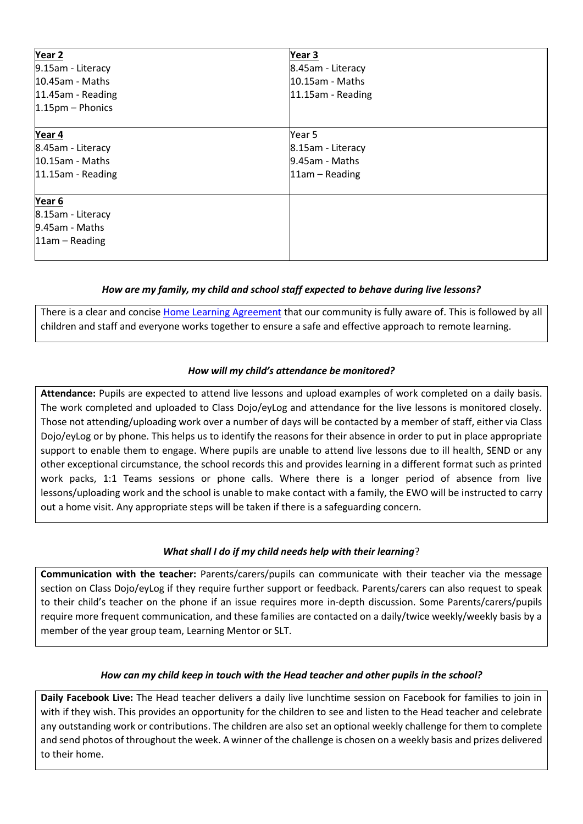| Year <sub>2</sub>    | Year 3               |  |
|----------------------|----------------------|--|
| 9.15am - Literacy    | 8.45am - Literacy    |  |
| $10.45$ am - Maths   | $10.15$ am - Maths   |  |
| 11.45am - Reading    | $11.15$ am - Reading |  |
| 1.15pm - Phonics     |                      |  |
| Year 4               | Year 5               |  |
| 8.45am - Literacy    | 8.15am - Literacy    |  |
| 10.15am - Maths      | $9.45$ am - Maths    |  |
| $11.15$ am - Reading | $11$ am – Reading    |  |
| Year 6               |                      |  |
| 8.15am - Literacy    |                      |  |
| $9.45$ am - Maths    |                      |  |
| $11am - Reading$     |                      |  |

### *How are my family, my child and school staff expected to behave during live lessons?*

There is a clear and concise [Home Learning Agreement](https://docs.google.com/document/d/1yTCne-RxkZP6dmV43d2U2MBbItNfk5Dqxtr5k1LgEww/edit?usp=sharing) that our community is fully aware of. This is followed by all children and staff and everyone works together to ensure a safe and effective approach to remote learning.

#### *How will my child's attendance be monitored?*

**Attendance:** Pupils are expected to attend live lessons and upload examples of work completed on a daily basis. The work completed and uploaded to Class Dojo/eyLog and attendance for the live lessons is monitored closely. Those not attending/uploading work over a number of days will be contacted by a member of staff, either via Class Dojo/eyLog or by phone. This helps us to identify the reasons for their absence in order to put in place appropriate support to enable them to engage. Where pupils are unable to attend live lessons due to ill health, SEND or any other exceptional circumstance, the school records this and provides learning in a different format such as printed work packs, 1:1 Teams sessions or phone calls. Where there is a longer period of absence from live lessons/uploading work and the school is unable to make contact with a family, the EWO will be instructed to carry out a home visit. Any appropriate steps will be taken if there is a safeguarding concern.

#### *What shall I do if my child needs help with their learning*?

**Communication with the teacher:** Parents/carers/pupils can communicate with their teacher via the message section on Class Dojo/eyLog if they require further support or feedback. Parents/carers can also request to speak to their child's teacher on the phone if an issue requires more in-depth discussion. Some Parents/carers/pupils require more frequent communication, and these families are contacted on a daily/twice weekly/weekly basis by a member of the year group team, Learning Mentor or SLT.

#### *How can my child keep in touch with the Head teacher and other pupils in the school?*

**Daily Facebook Live:** The Head teacher delivers a daily live lunchtime session on Facebook for families to join in with if they wish. This provides an opportunity for the children to see and listen to the Head teacher and celebrate any outstanding work or contributions. The children are also set an optional weekly challenge for them to complete and send photos of throughout the week. A winner of the challenge is chosen on a weekly basis and prizes delivered to their home.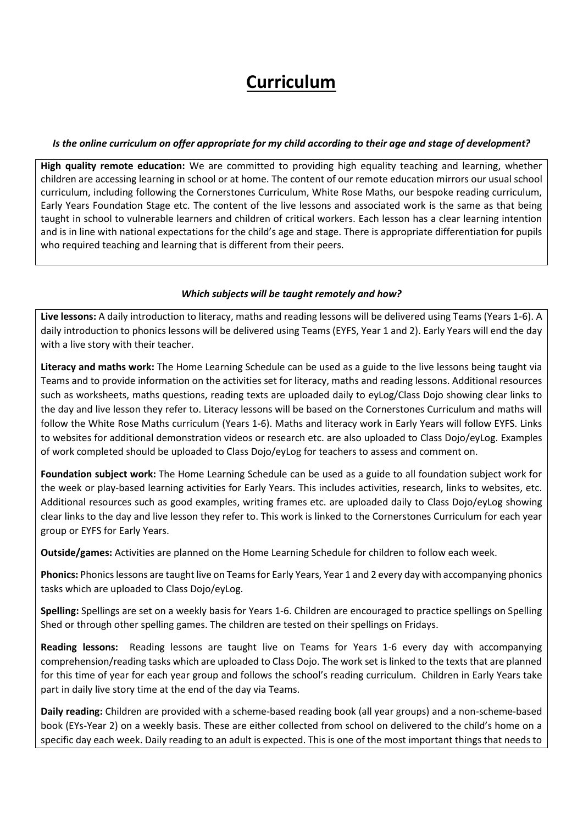## **Curriculum**

#### *Is the online curriculum on offer appropriate for my child according to their age and stage of development?*

**High quality remote education:** We are committed to providing high equality teaching and learning, whether children are accessing learning in school or at home. The content of our remote education mirrors our usual school curriculum, including following the Cornerstones Curriculum, White Rose Maths, our bespoke reading curriculum, Early Years Foundation Stage etc. The content of the live lessons and associated work is the same as that being taught in school to vulnerable learners and children of critical workers. Each lesson has a clear learning intention and is in line with national expectations for the child's age and stage. There is appropriate differentiation for pupils who required teaching and learning that is different from their peers.

#### *Which subjects will be taught remotely and how?*

**Live lessons:** A daily introduction to literacy, maths and reading lessons will be delivered using Teams (Years 1-6). A daily introduction to phonics lessons will be delivered using Teams (EYFS, Year 1 and 2). Early Years will end the day with a live story with their teacher.

**Literacy and maths work:** The Home Learning Schedule can be used as a guide to the live lessons being taught via Teams and to provide information on the activities set for literacy, maths and reading lessons. Additional resources such as worksheets, maths questions, reading texts are uploaded daily to eyLog/Class Dojo showing clear links to the day and live lesson they refer to. Literacy lessons will be based on the Cornerstones Curriculum and maths will follow the White Rose Maths curriculum (Years 1-6). Maths and literacy work in Early Years will follow EYFS. Links to websites for additional demonstration videos or research etc. are also uploaded to Class Dojo/eyLog. Examples of work completed should be uploaded to Class Dojo/eyLog for teachers to assess and comment on.

**Foundation subject work:** The Home Learning Schedule can be used as a guide to all foundation subject work for the week or play-based learning activities for Early Years. This includes activities, research, links to websites, etc. Additional resources such as good examples, writing frames etc. are uploaded daily to Class Dojo/eyLog showing clear links to the day and live lesson they refer to. This work is linked to the Cornerstones Curriculum for each year group or EYFS for Early Years.

**Outside/games:** Activities are planned on the Home Learning Schedule for children to follow each week.

**Phonics:** Phonics lessons are taught live on Teams for Early Years, Year 1 and 2 every day with accompanying phonics tasks which are uploaded to Class Dojo/eyLog.

**Spelling:** Spellings are set on a weekly basis for Years 1-6. Children are encouraged to practice spellings on Spelling Shed or through other spelling games. The children are tested on their spellings on Fridays.

**Reading lessons:** Reading lessons are taught live on Teams for Years 1-6 every day with accompanying comprehension/reading tasks which are uploaded to Class Dojo. The work set is linked to the texts that are planned for this time of year for each year group and follows the school's reading curriculum. Children in Early Years take part in daily live story time at the end of the day via Teams.

**Daily reading:** Children are provided with a scheme-based reading book (all year groups) and a non-scheme-based book (EYs-Year 2) on a weekly basis. These are either collected from school on delivered to the child's home on a specific day each week. Daily reading to an adult is expected. This is one of the most important things that needs to